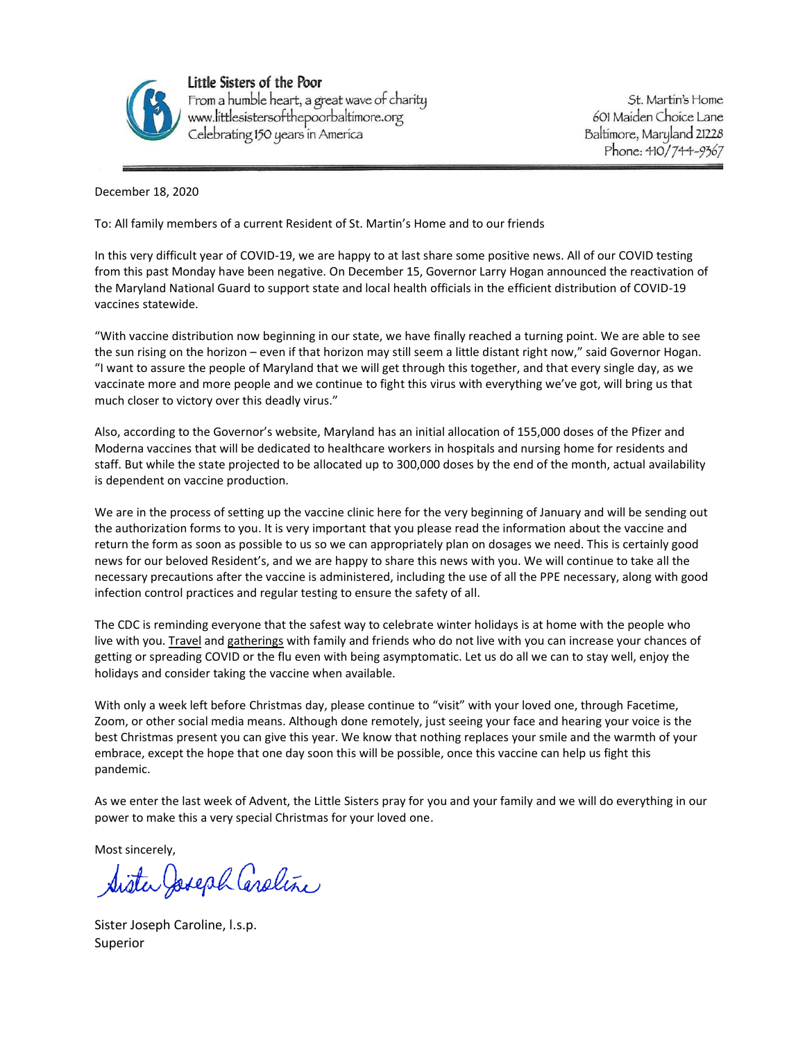

Little Sisters of the Poor From a humble heart, a great wave of charity<br>www.littlesistersofthepoorbaltimore.org<br>Celebrating 150 years in America

St. Martin's Home 601 Maiden Choice Lane Baltimore, Maryland 21228 Phone: 410/744-9367

December 18, 2020

To: All family members of a current Resident of St. Martin's Home and to our friends

In this very difficult year of COVID-19, we are happy to at last share some positive news. All of our COVID testing from this past Monday have been negative. On December 15, Governor Larry Hogan announced the reactivation of the Maryland National Guard to support state and local health officials in the efficient distribution of COVID-19 vaccines statewide.

"With vaccine distribution now beginning in our state, we have finally reached a turning point. We are able to see the sun rising on the horizon – even if that horizon may still seem a little distant right now," said Governor Hogan. "I want to assure the people of Maryland that we will get through this together, and that every single day, as we vaccinate more and more people and we continue to fight this virus with everything we've got, will bring us that much closer to victory over this deadly virus."

Also, according to the Governor's website, Maryland has an initial allocation of 155,000 doses of the Pfizer and Moderna vaccines that will be dedicated to healthcare workers in hospitals and nursing home for residents and staff. But while the state projected to be allocated up to 300,000 doses by the end of the month, actual availability is dependent on vaccine production.

We are in the process of setting up the vaccine clinic here for the very beginning of January and will be sending out the authorization forms to you. It is very important that you please read the information about the vaccine and return the form as soon as possible to us so we can appropriately plan on dosages we need. This is certainly good news for our beloved Resident's, and we are happy to share this news with you. We will continue to take all the necessary precautions after the vaccine is administered, including the use of all the PPE necessary, along with good infection control practices and regular testing to ensure the safety of all.

The CDC is reminding everyone that the safest way to celebrate winter holidays is at home with the people who live with you[. Travel](https://t.emailupdates.cdc.gov/r/?id=h37d76476%2C12d13e80%2C12d19fca&ACSTrackingID=USCDC_2067-DM44984&ACSTrackingLabel=Everyone%20Can%20Make%20Winter%20Holiday%20Celebrations%20Safer%20%7C%20COVID-19&s=8ochR6etq5ovR25hUMELM2y3ipAOrS4T3o2P4HnUe_A) and [gatherings](https://t.emailupdates.cdc.gov/r/?id=h37d76476%2C12d13e80%2C12d19fcb&ACSTrackingID=USCDC_2067-DM44984&ACSTrackingLabel=Everyone%20Can%20Make%20Winter%20Holiday%20Celebrations%20Safer%20%7C%20COVID-19&s=DSOfA3iHlup8WlYFPG8xc4OHT3e_M7I7o8vs4gABfJM) with family and friends who do not live with you can increase your chances of getting or spreading COVID or the flu even with being asymptomatic. Let us do all we can to stay well, enjoy the holidays and consider taking the vaccine when available.

With only a week left before Christmas day, please continue to "visit" with your loved one, through Facetime, Zoom, or other social media means. Although done remotely, just seeing your face and hearing your voice is the best Christmas present you can give this year. We know that nothing replaces your smile and the warmth of your embrace, except the hope that one day soon this will be possible, once this vaccine can help us fight this pandemic.

As we enter the last week of Advent, the Little Sisters pray for you and your family and we will do everything in our power to make this a very special Christmas for your loved one.

Most sincerely,

Sister Joseph Caroline

Sister Joseph Caroline, l.s.p. Superior